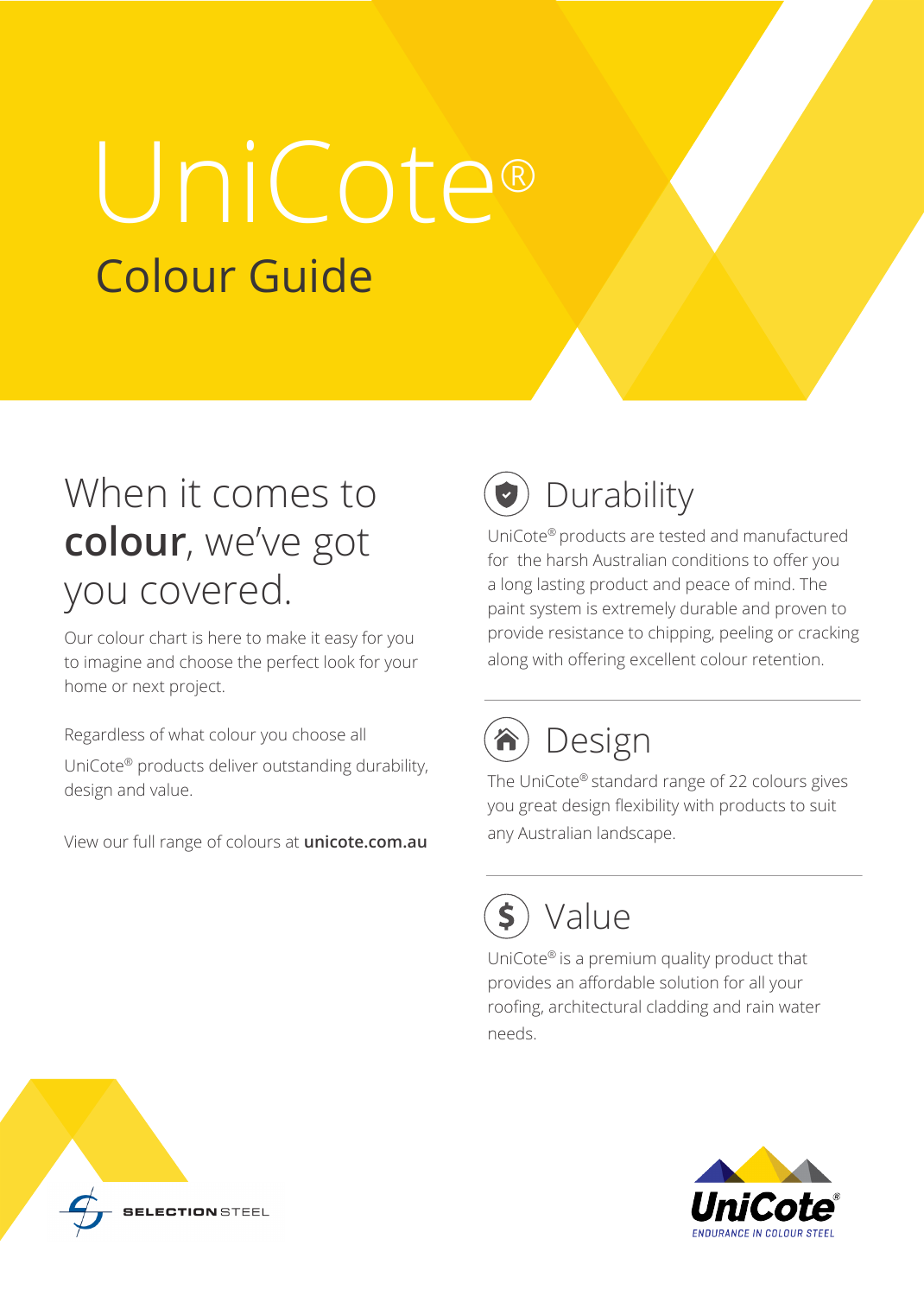# UniCote® Colour Guide

### When it comes to **colour**, we've got you covered.

Our colour chart is here to make it easy for you to imagine and choose the perfect look for your home or next project.

Regardless of what colour you choose all

UniCote® products deliver outstanding durability, design and value.

View our full range of colours at **unicote.com.au**



#### Durability

UniCote® products are tested and manufactured for the harsh Australian conditions to offer you a long lasting product and peace of mind. The paint system is extremely durable and proven to provide resistance to chipping, peeling or cracking along with offering excellent colour retention.



#### Design

The UniCote® standard range of 22 colours gives you great design flexibility with products to suit any Australian landscape.

## Value

UniCote® is a premium quality product that provides an affordable solution for all your roofing, architectural cladding and rain water needs.